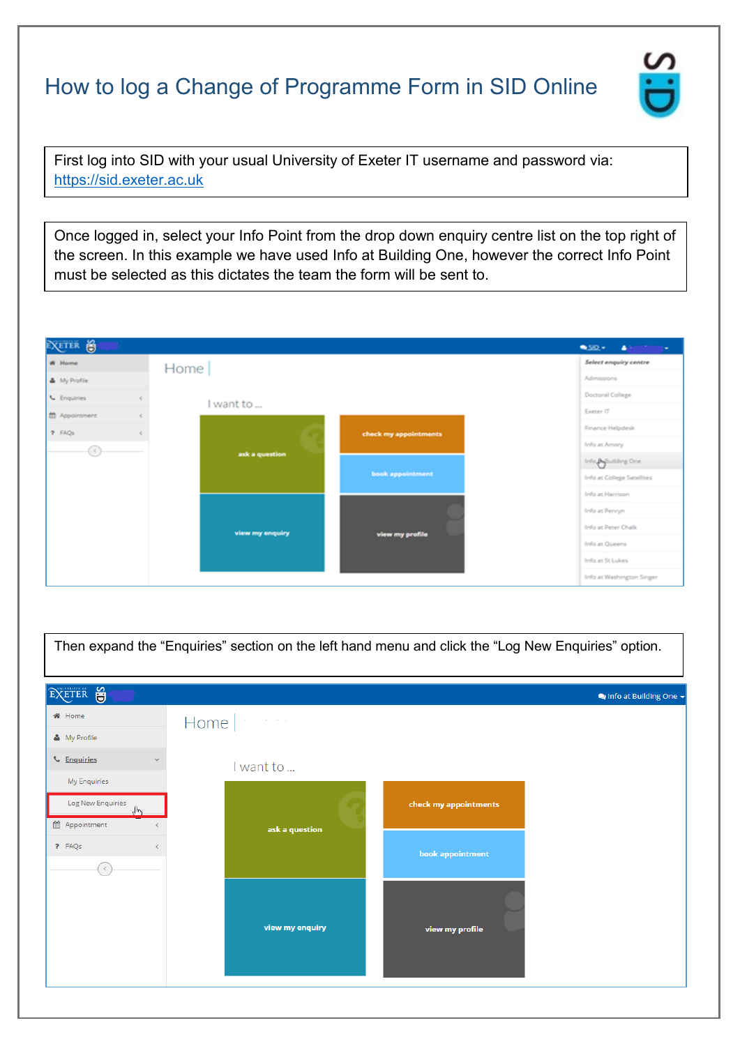## How to log a Change of Programme Form in SID Online

First log into SID with your usual University of Exeter IT username and password via: [https://sid.exeter.ac.uk](https://sid.exeter.ac.uk/)

Once logged in, select your Info Point from the drop down enquiry centre list on the top right of the screen. In this example we have used Info at Building One, however the correct Info Point must be selected as this dictates the team the form will be sent to.



Then expand the "Enquiries" section on the left hand menu and click the "Log New Enquiries" option.

| EXETER O                                 |                 |                       | linfo at Building One $\star$ |
|------------------------------------------|-----------------|-----------------------|-------------------------------|
| <b>备</b> Home                            | Home $ \cdot $  |                       |                               |
| & My Profile                             |                 |                       |                               |
| <b>L</b> Enquiries<br>$\checkmark$       | I want to       |                       |                               |
| My Enquiries                             |                 |                       |                               |
| Log New Enquiries<br>$\sqrt{h_{\gamma}}$ |                 | check my appointments |                               |
| th Appointment                           | ask a question  |                       |                               |
| ? FAQs                                   |                 | book appointment      |                               |
| $\epsilon$                               |                 |                       |                               |
|                                          |                 |                       |                               |
|                                          | view my enquiry | view my profile       |                               |
|                                          |                 |                       |                               |
|                                          |                 |                       |                               |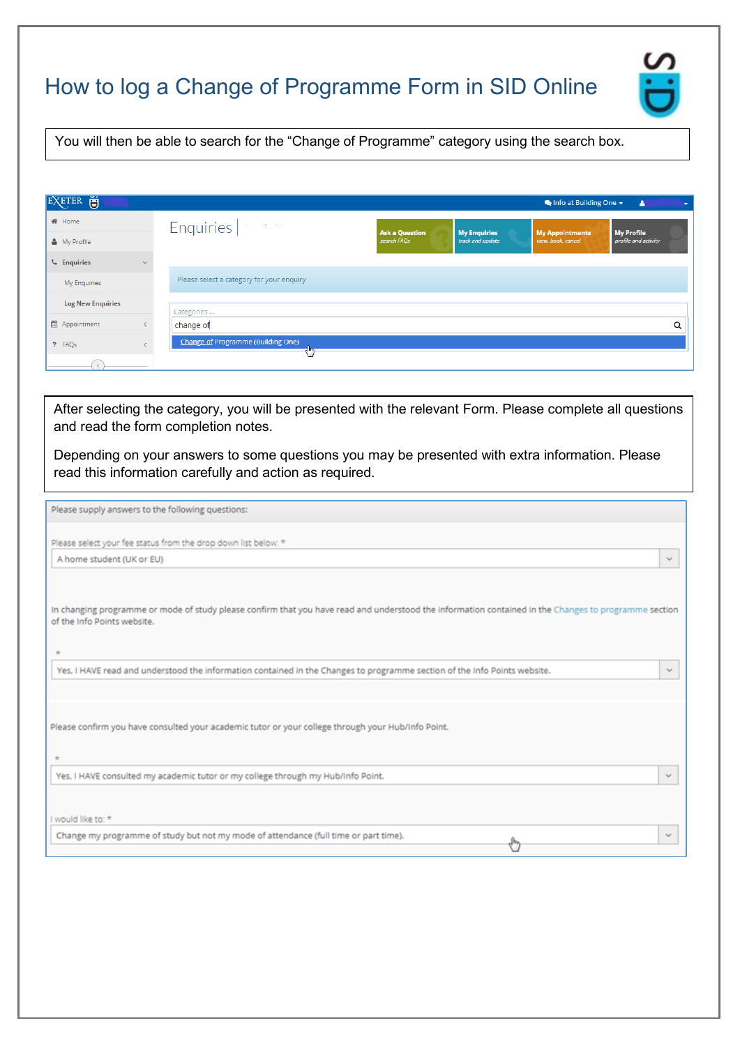## How to log a Change of Programme Form in SID Online



You will then be able to search for the "Change of Programme" category using the search box.

| Ŭ<br>EXETER              |              | $\bullet$ Info at Building One $\star$<br>Δ                                                                                                                                  |
|--------------------------|--------------|------------------------------------------------------------------------------------------------------------------------------------------------------------------------------|
| <b>备</b> Home            |              | Enquiries   Particular                                                                                                                                                       |
| & My Profile             |              | <b>Ask a Question</b><br><b>My Enquiries</b><br><b>My Profile</b><br><b>My Appointments</b><br>track and update<br>view, book, cancel<br>search FAQs<br>profile and activity |
| <b>L</b> Enquiries       | $\checkmark$ |                                                                                                                                                                              |
| My Enquiries             |              | Please select a category for your enquiry                                                                                                                                    |
| <b>Log New Enquiries</b> |              | Categories                                                                                                                                                                   |
| ttl Appointment          |              | Q<br>change of                                                                                                                                                               |
| ? FAQs                   |              | <b>Change of Programme (Building One)</b>                                                                                                                                    |
|                          |              |                                                                                                                                                                              |

After selecting the category, you will be presented with the relevant Form. Please complete all questions and read the form completion notes.

Depending on your answers to some questions you may be presented with extra information. Please read this information carefully and action as required.

| Please supply answers to the following questions:                                                                                                                                             |              |
|-----------------------------------------------------------------------------------------------------------------------------------------------------------------------------------------------|--------------|
| Please select your fee status from the drop down list below: *<br>A home student (UK or EU)                                                                                                   | $\sim$       |
| In changing programme or mode of study please confirm that you have read and understood the information contained in the Changes to programme section<br>of the Info Points website.<br>$\pm$ |              |
| Yes, I HAVE read and understood the information contained in the Changes to programme section of the Info Points website.                                                                     | $\checkmark$ |
| Please confirm you have consulted your academic tutor or your college through your Hub/Info Point.<br>÷                                                                                       |              |
| Yes, I HAVE consulted my academic tutor or my college through my Hub/Info Point.                                                                                                              | $\mathbf{v}$ |
| I would like to: *                                                                                                                                                                            |              |
| Change my programme of study but not my mode of attendance (full time or part time).<br>$\delta_{\mu\nu}$                                                                                     | $\checkmark$ |